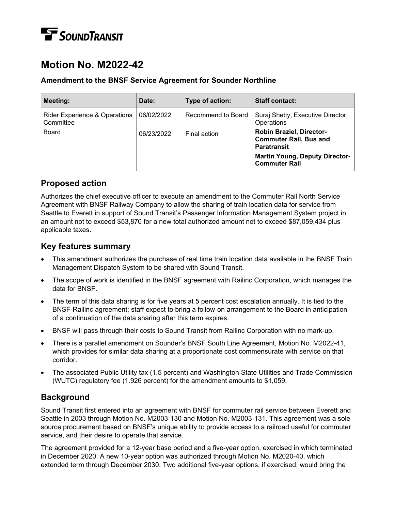# **TE** SOUNDTRANSIT

## **Motion No. M2022-42**

### **Amendment to the BNSF Service Agreement for Sounder Northline**

| <b>Meeting:</b>                                       | Date:      | Type of action:    | <b>Staff contact:</b>                                                                  |
|-------------------------------------------------------|------------|--------------------|----------------------------------------------------------------------------------------|
| <b>Rider Experience &amp; Operations</b><br>Committee | 06/02/2022 | Recommend to Board | Suraj Shetty, Executive Director,<br>Operations                                        |
| <b>Board</b>                                          | 06/23/2022 | Final action       | <b>Robin Braziel, Director-</b><br><b>Commuter Rail, Bus and</b><br><b>Paratransit</b> |
|                                                       |            |                    | <b>Martin Young, Deputy Director-</b><br><b>Commuter Rail</b>                          |

### **Proposed action**

Authorizes the chief executive officer to execute an amendment to the Commuter Rail North Service Agreement with BNSF Railway Company to allow the sharing of train location data for service from Seattle to Everett in support of Sound Transit's Passenger Information Management System project in an amount not to exceed \$53,870 for a new total authorized amount not to exceed \$87,059,434 plus applicable taxes.

### **Key features summary**

- This amendment authorizes the purchase of real time train location data available in the BNSF Train Management Dispatch System to be shared with Sound Transit.
- The scope of work is identified in the BNSF agreement with Railinc Corporation, which manages the data for BNSF.
- The term of this data sharing is for five years at 5 percent cost escalation annually. It is tied to the BNSF-Railinc agreement; staff expect to bring a follow-on arrangement to the Board in anticipation of a continuation of the data sharing after this term expires.
- BNSF will pass through their costs to Sound Transit from Railinc Corporation with no mark-up.
- There is a parallel amendment on Sounder's BNSF South Line Agreement, Motion No. M2022-41, which provides for similar data sharing at a proportionate cost commensurate with service on that corridor.
- The associated Public Utility tax (1.5 percent) and Washington State Utilities and Trade Commission (WUTC) regulatory fee (1.926 percent) for the amendment amounts to \$1,059.

### **Background**

Sound Transit first entered into an agreement with BNSF for commuter rail service between Everett and Seattle in 2003 through Motion No. M2003-130 and Motion No. M2003-131. This agreement was a sole source procurement based on BNSF's unique ability to provide access to a railroad useful for commuter service, and their desire to operate that service.

The agreement provided for a 12-year base period and a five-year option, exercised in which terminated in December 2020. A new 10-year option was authorized through Motion No. M2020-40, which extended term through December 2030. Two additional five-year options, if exercised, would bring the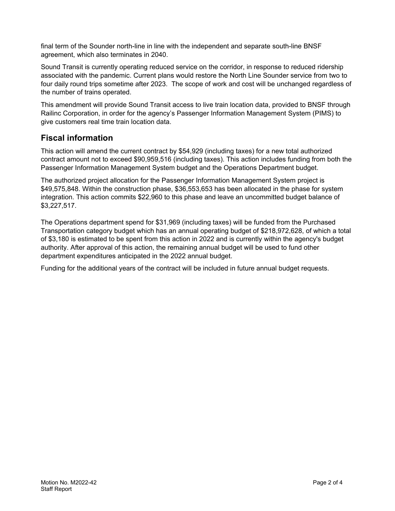final term of the Sounder north-line in line with the independent and separate south-line BNSF agreement, which also terminates in 2040.

Sound Transit is currently operating reduced service on the corridor, in response to reduced ridership associated with the pandemic. Current plans would restore the North Line Sounder service from two to four daily round trips sometime after 2023. The scope of work and cost will be unchanged regardless of the number of trains operated.

This amendment will provide Sound Transit access to live train location data, provided to BNSF through Railinc Corporation, in order for the agency's Passenger Information Management System (PIMS) to give customers real time train location data.

### **Fiscal information**

This action will amend the current contract by \$54,929 (including taxes) for a new total authorized contract amount not to exceed \$90,959,516 (including taxes). This action includes funding from both the Passenger Information Management System budget and the Operations Department budget.

The authorized project allocation for the Passenger Information Management System project is \$49,575,848. Within the construction phase, \$36,553,653 has been allocated in the phase for system integration. This action commits \$22,960 to this phase and leave an uncommitted budget balance of \$3,227,517.

The Operations department spend for \$31,969 (including taxes) will be funded from the Purchased Transportation category budget which has an annual operating budget of \$218,972,628, of which a total of \$3,180 is estimated to be spent from this action in 2022 and is currently within the agency's budget authority. After approval of this action, the remaining annual budget will be used to fund other department expenditures anticipated in the 2022 annual budget.

Funding for the additional years of the contract will be included in future annual budget requests.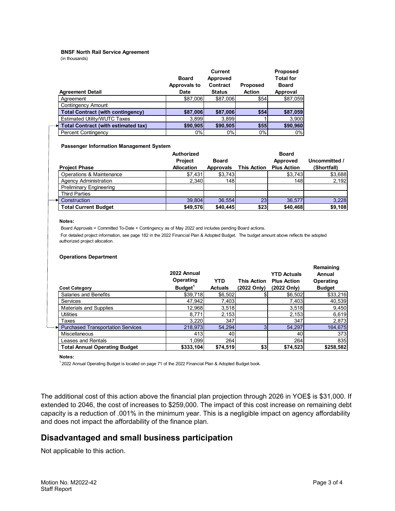#### **BNSF North Rail Service Agreement**

(in thousands)

| <b>Agreement Detail</b>                    | <b>Board</b><br>Approvals to<br><b>Date</b> | <b>Current</b><br>Approved<br>Contract<br><b>Status</b> | <b>Proposed</b><br><b>Action</b> | <b>Proposed</b><br><b>Total for</b><br><b>Board</b><br>Approval |
|--------------------------------------------|---------------------------------------------|---------------------------------------------------------|----------------------------------|-----------------------------------------------------------------|
| Aareement                                  | \$87,006                                    | \$87.006                                                | \$54                             | \$87,059                                                        |
| Contingency Amount                         |                                             |                                                         |                                  |                                                                 |
| <b>Total Contract (with contingency)</b>   | \$87,006                                    | \$87,006                                                | \$54                             | \$87,059                                                        |
| Estimated Utility/WUTC Taxes               | 3,899                                       | 3.899                                                   |                                  | 3,900                                                           |
| <b>Total Contract (with estimated tax)</b> | \$90,905                                    | \$90,905                                                | \$55                             | \$90,960                                                        |
| <b>Percent Contingency</b>                 | 0%                                          | 0%                                                      | 0%                               | 0%                                                              |

#### **Passenger Information Management System**

|                                | Authorized<br><b>Project</b> | <b>Board</b>     |                    | <b>Board</b><br>Approved | Uncommitted / |
|--------------------------------|------------------------------|------------------|--------------------|--------------------------|---------------|
| <b>Project Phase</b>           | <b>Allocation</b>            | <b>Approvals</b> | <b>This Action</b> | <b>Plus Action</b>       | (Shortfall)   |
| Operations & Maintenance       | \$7,431                      | \$3,743          |                    | \$3,743                  | \$3,688       |
| <b>Agency Administration</b>   | 2,340                        | 148              |                    | 148                      | 2,192         |
| <b>Preliminary Engineering</b> |                              |                  |                    |                          |               |
| <b>Third Parties</b>           |                              |                  |                    |                          |               |
| Construction                   | 39.804                       | 36.554           | 23                 | 36.577                   | 3,228         |
| <b>Total Current Budget</b>    | \$49,576                     | \$40,445         | \$23               | \$40,468                 | \$9,108       |

#### **Notes:**

Board Approvals = Committed To-Date + Contingency as of May 2022 and includes pending Board actions.

 For detailed project information, see page 182 in the 2022 Financial Plan & Adopted Budget. The budget amount above reflects the adopted authorized project allocation.

#### **Operations Department**

| <b>Cost Category</b>                     | 2022 Annual<br>Operating<br>Budget <sup>1</sup> | <b>YTD</b><br><b>Actuals</b> | <b>This Action</b><br>(2022 Only) | <b>YTD Actuals</b><br><b>Plus Action</b><br>(2022 Only) | Remaining<br>Annual<br>Operating<br><b>Budget</b> |
|------------------------------------------|-------------------------------------------------|------------------------------|-----------------------------------|---------------------------------------------------------|---------------------------------------------------|
| Salaries and Benefits                    | \$39,718                                        | \$6,502                      |                                   | \$6,502                                                 | \$33,216                                          |
| <b>Services</b>                          | 47,942                                          | 7,403                        |                                   | 7,403                                                   | 40,539                                            |
| <b>Materials and Supplies</b>            | 12,968                                          | 3,518                        |                                   | 3,518                                                   | 9,450                                             |
| <b>Utilities</b>                         | 8,771                                           | 2,153                        |                                   | 2,153                                                   | 6,619                                             |
| Taxes                                    | 3,220                                           | 347                          |                                   | 347                                                     | 2,873                                             |
| <b>Purchased Transportation Services</b> | 218,973                                         | 54,294                       |                                   | 54,297                                                  | 164,675                                           |
| Miscellaneous                            | 413                                             | 40                           |                                   | 40                                                      | 373                                               |
| Leases and Rentals                       | 1.099                                           | 264                          |                                   | 264                                                     | 835                                               |
| <b>Total Annual Operating Budget</b>     | \$333,104                                       | \$74,519                     | \$3                               | \$74,523                                                | \$258,582                                         |

**Notes:**

<sup>1</sup> 2022 Annual Operating Budget is located on page 71 of the 2022 Financial Plan & Adopted Budget book.

The additional cost of this action above the financial plan projection through 2026 in YOE\$ is \$31,000. If extended to 2046, the cost of increases to \$259,000. The impact of this cost increase on remaining debt capacity is a reduction of .001% in the minimum year. This is a negligible impact on agency affordability and does not impact the affordability of the finance plan.

### **Disadvantaged and small business participation**

Not applicable to this action.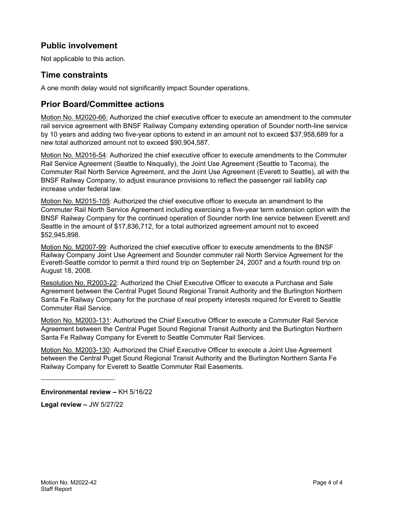### **Public involvement**

Not applicable to this action.

### **Time constraints**

A one month delay would not significantly impact Sounder operations.

### **Prior Board/Committee actions**

Motion No. M2020-66: Authorized the chief executive officer to execute an amendment to the commuter rail service agreement with BNSF Railway Company extending operation of Sounder north-line service by 10 years and adding two five-year options to extend in an amount not to exceed \$37,958,689 for a new total authorized amount not to exceed \$90,904,587.

Motion No. M2016-54: Authorized the chief executive officer to execute amendments to the Commuter Rail Service Agreement (Seattle to Nisqually), the Joint Use Agreement (Seattle to Tacoma), the Commuter Rail North Service Agreement, and the Joint Use Agreement (Everett to Seattle), all with the BNSF Railway Company, to adjust insurance provisions to reflect the passenger rail liability cap increase under federal law.

Motion No. M2015-105: Authorized the chief executive officer to execute an amendment to the Commuter Rail North Service Agreement including exercising a five-year term extension option with the BNSF Railway Company for the continued operation of Sounder north line service between Everett and Seattle in the amount of \$17,836,712, for a total authorized agreement amount not to exceed \$52,945,898.

Motion No. M2007-99: Authorized the chief executive officer to execute amendments to the BNSF Railway Company Joint Use Agreement and Sounder commuter rail North Service Agreement for the Everett-Seattle corridor to permit a third round trip on September 24, 2007 and a fourth round trip on August 18, 2008.

Resolution No. R2003-22: Authorized the Chief Executive Officer to execute a Purchase and Sale Agreement between the Central Puget Sound Regional Transit Authority and the Burlington Northern Santa Fe Railway Company for the purchase of real property interests required for Everett to Seattle Commuter Rail Service.

Motion No. M2003-131: Authorized the Chief Executive Officer to execute a Commuter Rail Service Agreement between the Central Puget Sound Regional Transit Authority and the Burlington Northern Santa Fe Railway Company for Everett to Seattle Commuter Rail Services.

Motion No. M2003-130: Authorized the Chief Executive Officer to execute a Joint Use Agreement between the Central Puget Sound Regional Transit Authority and the Burlington Northern Santa Fe Railway Company for Everett to Seattle Commuter Rail Easements.

**Environmental review –** KH 5/16/22

**Legal review –** JW 5/27/22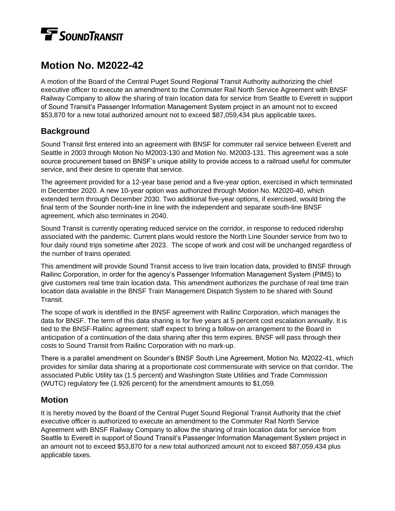# **TE** SOUNDTRANSIT

## **Motion No. M2022-42**

A motion of the Board of the Central Puget Sound Regional Transit Authority authorizing the chief executive officer to execute an amendment to the Commuter Rail North Service Agreement with BNSF Railway Company to allow the sharing of train location data for service from Seattle to Everett in support of Sound Transit's Passenger Information Management System project in an amount not to exceed \$53,870 for a new total authorized amount not to exceed \$87,059,434 plus applicable taxes.

### **Background**

Sound Transit first entered into an agreement with BNSF for commuter rail service between Everett and Seattle in 2003 through Motion No M2003-130 and Motion No. M2003-131. This agreement was a sole source procurement based on BNSF's unique ability to provide access to a railroad useful for commuter service, and their desire to operate that service.

The agreement provided for a 12-year base period and a five-year option, exercised in which terminated in December 2020. A new 10-year option was authorized through Motion No. M2020-40, which extended term through December 2030. Two additional five-year options, if exercised, would bring the final term of the Sounder north-line in line with the independent and separate south-line BNSF agreement, which also terminates in 2040.

Sound Transit is currently operating reduced service on the corridor, in response to reduced ridership associated with the pandemic. Current plans would restore the North Line Sounder service from two to four daily round trips sometime after 2023. The scope of work and cost will be unchanged regardless of the number of trains operated.

This amendment will provide Sound Transit access to live train location data, provided to BNSF through Railinc Corporation, in order for the agency's Passenger Information Management System (PIMS) to give customers real time train location data. This amendment authorizes the purchase of real time train location data available in the BNSF Train Management Dispatch System to be shared with Sound Transit.

The scope of work is identified in the BNSF agreement with Railinc Corporation, which manages the data for BNSF. The term of this data sharing is for five years at 5 percent cost escalation annually. It is tied to the BNSF-Railinc agreement; staff expect to bring a follow-on arrangement to the Board in anticipation of a continuation of the data sharing after this term expires. BNSF will pass through their costs to Sound Transit from Railinc Corporation with no mark-up.

There is a parallel amendment on Sounder's BNSF South Line Agreement, Motion No. M2022-41, which provides for similar data sharing at a proportionate cost commensurate with service on that corridor. The associated Public Utility tax (1.5 percent) and Washington State Utilities and Trade Commission (WUTC) regulatory fee (1.926 percent) for the amendment amounts to \$1,059.

### **Motion**

It is hereby moved by the Board of the Central Puget Sound Regional Transit Authority that the chief executive officer is authorized to execute an amendment to the Commuter Rail North Service Agreement with BNSF Railway Company to allow the sharing of train location data for service from Seattle to Everett in support of Sound Transit's Passenger Information Management System project in an amount not to exceed \$53,870 for a new total authorized amount not to exceed \$87,059,434 plus applicable taxes.